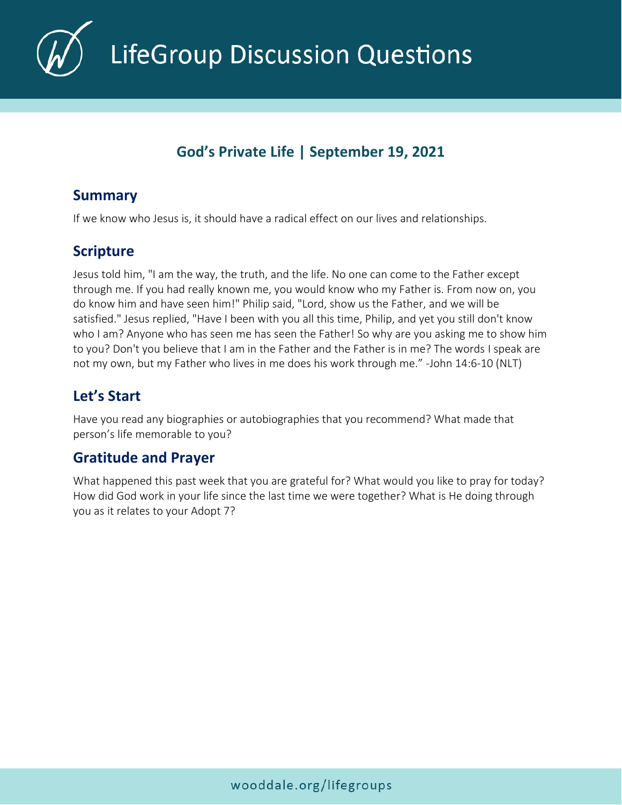

**LifeGroup Discussion Questions** 

# **God's Private Life | September 19, 2021**

### **Summary**

If we know who Jesus is, it should have a radical effect on our lives and relationships.

# **Scripture**

Jesus told him, "I am the way, the truth, and the life. No one can come to the Father except through me. If you had really known me, you would know who my Father is. From now on, you do know him and have seen him!" Philip said, "Lord, show us the Father, and we will be satisfied." Jesus replied, "Have I been with you all this time, Philip, and yet you still don't know who I am? Anyone who has seen me has seen the Father! So why are you asking me to show him to you? Don't you believe that I am in the Father and the Father is in me? The words I speak are not my own, but my Father who lives in me does his work through me." -John 14:6-10 (NLT)

# **Let's Start**

Have you read any biographies or autobiographies that you recommend? What made that person's life memorable to you?

### **Gratitude and Prayer**

What happened this past week that you are grateful for? What would you like to pray for today? How did God work in your life since the last time we were together? What is He doing through you as it relates to your Adopt 7?